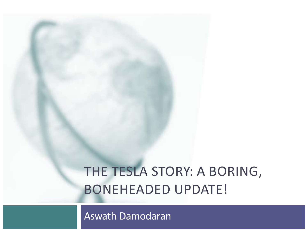# THE TESLA STORY: A BORING, BONEHEADED UPDATE!

Aswath Damodaran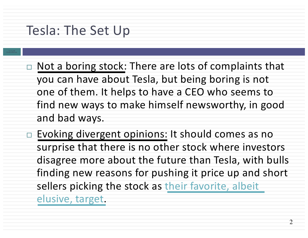### Tesla: The Set Up

- **A sw ath Damodaran**
- $\Box$  Not a boring stock: There are lots of complaints that you can have about Tesla, but being boring is not one of them. It helps to have a CEO who seems to find new ways to make himself newsworthy, in good and bad ways.
- $\Box$  Evoking divergent opinions: It should comes as no surprise that there is no other stock where investors disagree more about the future than Tesla, with bulls finding new reasons for pushing it price up and short [sellers picking the stock as](https://www.cnbc.com/2018/04/11/tesla-is-the-biggest-short-in-the-us-stock-market.html) their favorite, albeit elusive, target.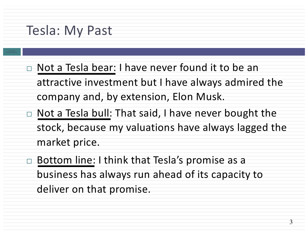#### Tesla: My Past

- **A sw ath Damodaran**
- $\Box$  Not a Tesla bear: I have never found it to be an attractive investment but I have always admired the company and, by extension, Elon Musk.
- $\Box$  Not a Tesla bull: That said, I have never bought the stock, because my valuations have always lagged the market price.
- $\Box$  Bottom line: I think that Tesla's promise as a business has always run ahead of its capacity to deliver on that promise.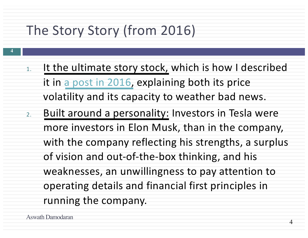# The Story Story (from 2016)

- 1. It the ultimate story stock, which is how I described it in [a post in 2016](http://aswathdamodaran.blogspot.com/2016/07/tesla-story-meets-numbers-promise-meets.html), explaining both its price volatility and its capacity to weather bad news.
- 2. Built around a personality: Investors in Tesla were more investors in Elon Musk, than in the company, with the company reflecting his strengths, a surplus of vision and out-of-the-box thinking, and his weaknesses, an unwillingness to pay attention to operating details and financial first principles in running the company.

**4**

4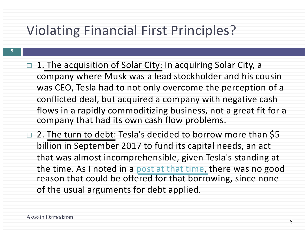# Violating Financial First Principles?

- 1. The acquisition of Solar City: In acquiring Solar City, a company where Musk was a lead stockholder and his cousin was CEO, Tesla had to not only overcome the perception of a conflicted deal, but acquired a company with negative cash flows in a rapidly commoditizing business, not a great fit for a company that had its own cash flow problems.
- $\Box$  2. The turn to debt: Tesla's decided to borrow more than \$5 billion in September 2017 to fund its capital needs, an act that was almost incomprehensible, given Tesla's standing at the time. As I noted in a [post at that time,](http://aswathdamodaran.blogspot.com/2017/08/a-tesla-2017-update-disruptive-force.html) there was no good reason that could be offered for that borrowing, since none of the usual arguments for debt applied.

**5**

5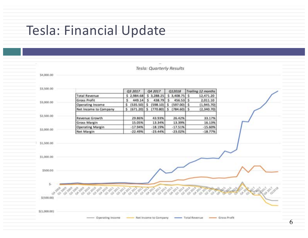### Tesla: Financial Update

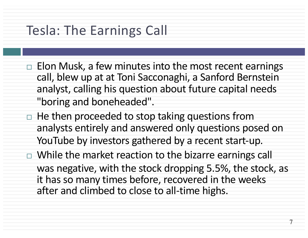### Tesla: The Earnings Call

- $\Box$  Elon Musk, a few minutes into the most recent earnings call, blew up at at Toni Sacconaghi, a Sanford Bernstein analyst, calling his question about future capital needs "boring and boneheaded".
- $\Box$  He then proceeded to stop taking questions from analysts entirely and answered only questions posed on YouTube by investors gathered by a recent start-up.
- $\Box$  While the market reaction to the bizarre earnings call was negative, with the stock dropping 5.5%, the stock, as it has so many times before, recovered in the weeks after and climbed to close to all-time highs.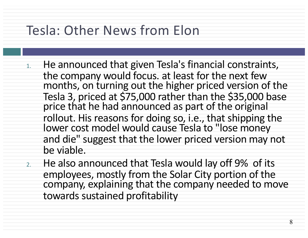# Tesla: Other News from Elon

- 1. He announced that given Tesla's financial constraints, the company would focus. at least for the next few months, on turning out the higher priced version of the Tesla 3, priced at \$75,000 rather than the \$35,000 base price that he had announced as part of the original rollout. His reasons for doing so, i.e., that shipping the lower cost model would cause Tesla to "lose money and die" suggest that the lower priced version may not be viable.
- 2. He also announced that Tesla would lay off 9% of its employees, mostly from the Solar City portion of the company, explaining that the company needed to move towards sustained profitability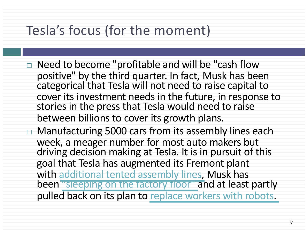# Tesla's focus (for the moment)

- $\Box$  Need to become "profitable and will be "cash flow positive" by the third quarter. In fact, Musk has been categorical that Tesla will not need to raise capital to cover its investment needs in the future, in response to stories in the press that Tesla would need to raise between billions to cover its growth plans.
- $\Box$  Manufacturing 5000 cars from its assembly lines each week, a meager number for most auto makers but driving decision making at Tesla. It is in pursuit of this goal that Tesla has augmented its Fremont plant with [additional tented assembly lines,](https://arstechnica.com/cars/2018/06/elon-musk-lauds-new-temporary-assembly-tent-as-factory-2-0-awaits/) Musk has been ["sleeping on the factory floor"](https://www.cnbc.com/2018/04/11/elon-musk-says-he-is-sleeping-on-tesla-factory-floor-to-save-time.html) and at least partly pulled back on its plan to [replace workers with robots.](https://www.theguardian.com/technology/2018/apr/16/elon-musk-humans-robots-slow-down-tesla-model-3-production)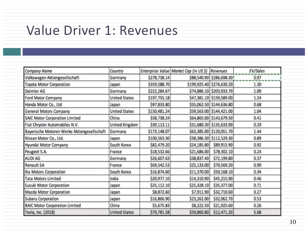# Value Driver 1: Revenues

| Company Name                                | Country              |              | Enterprise Value Market Cap (in US \$) Revenues |                           | EV/Sales |
|---------------------------------------------|----------------------|--------------|-------------------------------------------------|---------------------------|----------|
| Volkswagen Aktiengesellschaft               | Germany              | \$278,738.14 |                                                 | \$88,540.90 \$286,698.30! | 0.97     |
| <b>Toyota Motor Corporation</b>             | Japan                | \$359,588.70 |                                                 | \$199,925.40 \$276,630.20 | 1.30     |
| Daimler AG                                  | Germany              | \$222,284.67 |                                                 | \$74,886.10 \$203,933.70  | 1.09     |
| Ford Motor Company                          | <b>United States</b> | \$197,755.18 |                                                 | \$47,381.10 \$159,589.00  | 1.24     |
| Honda Motor Co., Ltd                        | Japan                | \$97,833.80  |                                                 | \$55,062.50 \$144,636.80  | 0.68     |
| General Motors Company                      | <b>United States</b> | \$150,481.24 |                                                 | \$59,563.00 \$144,421.00  | 1.04     |
| <b>SAIC Motor Corporation Limited</b>       | China                | \$58,738.24  |                                                 | \$64,865.00 \$143,679.50  | 0.41     |
| Fiat Chrysler Automobiles N.V.              | United Kingdom       | \$39,113.11  |                                                 | \$31,680.30 \$135,633.90  | 0.29     |
| Bayerische Motoren Werke Aktiengesellschaft | Germany              | \$173,148.07 |                                                 | \$63,385.00 \$120,051.70  | 1.44     |
| Nissan Motor Co., Ltd.                      | Japan                | \$100,563.30 |                                                 | \$38,386.30 \$112,529.30  | 0.89     |
| Hyundai Motor Company                       | South Korea          | \$82,479.20  | \$24,185.80                                     | \$89,915.90               | 0.92     |
| Peugeot S.A.                                | France               | \$18,532.66  | \$21,686.00                                     | \$78,302.10               | 0.24     |
| AUDI AG                                     | Germany              | \$26,607.63  | \$38,837.40                                     | \$72,199.80               | 0.37     |
| Renault SA                                  | France               | \$69,542.53  | \$25,133.00                                     | \$70,569.20               | 0.99     |
| Kia Motors Corporation                      | South Korea          | \$16,874.60  | \$11,370.00                                     | \$50,168.10               | 0.34     |
| <b>Tata Motors Limited</b>                  | India                | \$20,977.10  | \$14,310.90                                     | \$45,215.90               | 0.46     |
| Suzuki Motor Corporation                    | Japan                | \$25,112.10  | \$25,328.10                                     | \$35,377.00               | 0.71     |
| Mazda Motor Corporation                     | Japan                | \$8,872.60   | \$7,911.90                                      | \$32,710.60               | 0.27     |
| Subaru Corporation                          | Japan                | \$16,866.90  | \$23,262.00                                     | \$32,062.70               | 0.53     |
| <b>BAIC Motor Corporation Limited</b>       | China                | \$5,675.83   | \$8,222.50                                      | \$21,925.60               | 0.26     |
| Tesla, Inc. (2018)                          | <b>United States</b> | \$70,781.58  | \$59,860.80                                     | \$12,471.20               | 5.68     |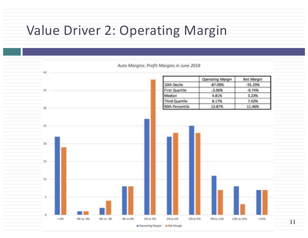# Value Driver 2: Operating Margin

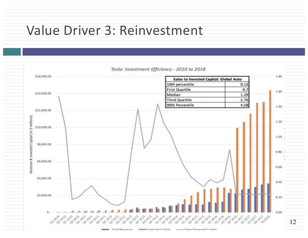### Value Driver 3: Reinvestment



summer Calgar Pressure and Carolinal Technol Disponences. month inconstant Cardinal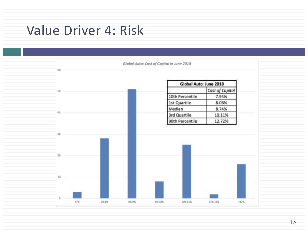# Value Driver 4: Risk

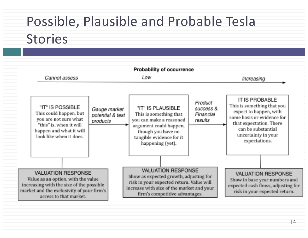# Possible, Plausible and Probable Tesla Stories

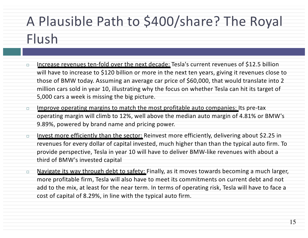# A Plausible Path to \$400/share? The Royal Flush

- □ Increase revenues ten-fold over the next decade: Tesla's current revenues of \$12.5 billion will have to increase to \$120 billion or more in the next ten years, giving it revenues close to those of BMW today. Assuming an average car price of \$60,000, that would translate into 2 million cars sold in year 10, illustrating why the focus on whether Tesla can hit its target of 5,000 cars a week is missing the big picture.
- $\Box$  Improve operating margins to match the most profitable auto companies: Its pre-tax operating margin will climb to 12%, well above the median auto margin of 4.81% or BMW's 9.89%, powered by brand name and pricing power.
- $\Box$  Invest more efficiently than the sector: Reinvest more efficiently, delivering about \$2.25 in revenues for every dollar of capital invested, much higher than than the typical auto firm. To provide perspective, Tesla in year 10 will have to deliver BMW-like revenues with about a third of BMW's invested capital
- □ Navigate its way through debt to safety: Finally, as it moves towards becoming a much larger, more profitable firm, Tesla will also have to meet its commitments on current debt and not add to the mix, at least for the near term. In terms of operating risk, Tesla will have to face a cost of capital of 8.29%, in line with the typical auto firm.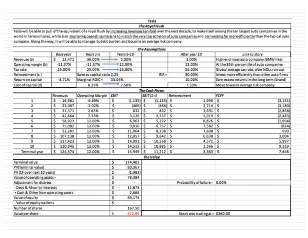#### Tesla

#### **The Royal Flush**

Tesla will be able to pull of the equivalent of a royal flush by increasing revenues ten-fold over the next decade, to make itself among the ten largest auto companies in the world in terms of sales, while also improving operating margins to match the very top echelon of auto companies and reinvesting far more efficiently than the typical auto company. Along the way, it will be able to manage its debt burden and become an average risk company.

|                                           |               |                             |           |               |           | <b>The Assumptions</b>          |                                |                                              |                                               |  |
|-------------------------------------------|---------------|-----------------------------|-----------|---------------|-----------|---------------------------------|--------------------------------|----------------------------------------------|-----------------------------------------------|--|
|                                           | Base year     | Years 1-5<br>Years $6-10$   |           |               |           | After year 10                   |                                | Link to story                                |                                               |  |
| Revenues (a)                              | 12,471<br>s   | 36.00%                      | 3.00%     |               |           |                                 |                                | 3.00%                                        | High-end mass auto company (BMW like)         |  |
| Operating margin (b)                      | $-11.37%$     | $-11.37%$                   | +12.00%   |               |           |                                 |                                | 12.00%                                       | At the 85th percentile of auto companies      |  |
| Tax rate                                  | 25.00%        | 25.00%                      | $+25.00%$ |               |           |                                 | 25.00%                         |                                              | Global average tax rate, after NOLs run out   |  |
| Reinvestment (c)                          |               | Sales to capital ratio 2.25 |           |               |           | $RIR =$                         |                                | 30.00%                                       | Invest more efficiently than other auto firms |  |
| Return on capital                         | $-8.71%$      | Marginal ROIC =<br>33.04%   |           |               |           |                                 | 10.00%                         | Earn excess returns in the long term (brand) |                                               |  |
| Cost of capital (d)                       |               | 7.50%<br>8.29%              |           |               |           |                                 |                                | 7.50%                                        | Move towards average risk company             |  |
|                                           |               |                             |           |               |           | The Cash Flows                  |                                |                                              |                                               |  |
|                                           | Revenues      | <b>Operating Margin</b>     | EBIT      |               |           | $EBIT(1-t)$                     |                                | Reinvestment                                 | FCFF                                          |  |
|                                           | \$<br>16,961  | $-6.69%$                    | s         | $(1, 135)$ \$ |           | $(1, 135)$ \$                   |                                | 1,995                                        | $\vert$ s<br>(3, 131)                         |  |
| 2                                         | \$<br>23,067  | $-2.02%$                    | \$        | $(466)$ \$    |           | $(466)$ \$                      |                                | $2,714$ \$                                   | (3, 180)                                      |  |
| 3                                         | \$<br>31,371  | 2.65%                       | \$        | 832           | $\vert$ s | 832                             | l s                            | 3,691                                        | $\vert$ s<br>(2,858)                          |  |
| 4                                         | 42,664<br>s   | 7.33%                       | \$        | 3,126         | $\vert$ s | 2,537                           | l s                            | $5,019$ $S$                                  | (2, 483)                                      |  |
| 5                                         | \$<br>58,023  | 12.00%                      | \$        | $6,963$ \$    |           | 5,222                           | l s                            | $6,826$ \$                                   | (1,604)                                       |  |
| 6                                         | \$<br>75,082  | 12.00%                      | \$        | $9,010$ S     |           | 6,757                           | l s                            | $7,582$ \$                                   | (824)                                         |  |
| $\overline{1}$                            | 92,201<br>s   | 12.00%                      | \$        | 11,064        | l s       | 8,298                           | l s                            | $7,608$ $\mid$ \$                            | 690                                           |  |
| 8                                         | 107,138<br>\$ | 12.00%                      | \$        | 12,857        | $\vert$ s | 9,642                           | ١s                             | $6,638$ \$                                   | 3,004                                         |  |
| 9                                         | 117,423<br>\$ | 12.00%                      | \$        | 14,091        | $\vert$ s | 10,568                          | İs                             | $4,571$ \$                                   | 5,997                                         |  |
| 10                                        | s<br>120,945  | 12.00%                      | \$        | 14,513        | $\vert$ s | 10,885                          | l s                            | $1,566$ \$                                   | 9,319                                         |  |
| Terminal year                             | 124,574<br>s  | 12.00%                      | \$        | 14,949        | ¢         | $11,212$ \$                     |                                | $3,363$ $5$                                  | 7,848                                         |  |
|                                           |               |                             |           |               |           | The Value                       |                                |                                              |                                               |  |
| Terminal value                            |               |                             | \$        | 174,403       |           |                                 |                                |                                              |                                               |  |
| PV(Terminal value)                        |               |                             | 5         | 80,367        |           |                                 |                                |                                              |                                               |  |
| PV (CF over next 10 years)                |               | s                           | (1, 983)  |               |           |                                 |                                |                                              |                                               |  |
| Value of operating assets =               |               | s                           | 78,384    |               |           |                                 |                                |                                              |                                               |  |
| Adjustment for distress                   |               | \$                          |           |               |           |                                 | Probability of failure = 0.00% |                                              |                                               |  |
| Debt & Mnority Interests                  |               | \$                          | 11,875    |               |           |                                 |                                |                                              |                                               |  |
| \$<br>+ Cash & Other Non-operating assets |               |                             | 2,666     |               |           |                                 |                                |                                              |                                               |  |
| \$<br>Value of equity                     |               |                             | 69,176    |               |           |                                 |                                |                                              |                                               |  |
| Value of equity options                   |               | \$                          |           |               |           |                                 |                                |                                              |                                               |  |
| Number of shares                          |               |                             | 167.50    |               |           |                                 |                                |                                              |                                               |  |
| Value per share<br>s                      |               | 412.99                      |           |               |           | Stock was trading at = \$360.00 |                                |                                              |                                               |  |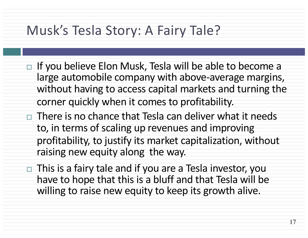# Musk's Tesla Story: A Fairy Tale?

- $\Box$  If you believe Elon Musk, Tesla will be able to become a large automobile company with above-average margins, without having to access capital markets and turning the corner quickly when it comes to profitability.
- $\Box$  There is no chance that Tesla can deliver what it needs to, in terms of scaling up revenues and improving profitability, to justify its market capitalization, without raising new equity along the way.
- $\Box$  This is a fairy tale and if you are a Tesla investor, you have to hope that this is a bluff and that Tesla will be willing to raise new equity to keep its growth alive.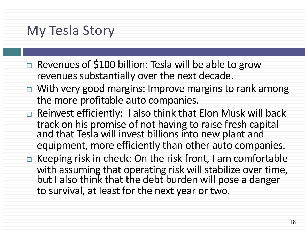### My Tesla Story

- $\Box$  Revenues of \$100 billion: Tesla will be able to grow revenues substantially over the next decade.
- $\Box$  With very good margins: Improve margins to rank among the more profitable auto companies.
- $\Box$  Reinvest efficiently: I also think that Elon Musk will back track on his promise of not having to raise fresh capital and that Tesla will invest billions into new plant and equipment, more efficiently than other auto companies.
- $\Box$  Keeping risk in check: On the risk front, I am comfortable with assuming that operating risk will stabilize over time, but I also think that the debt burden will pose a danger to survival, at least for the next year or two.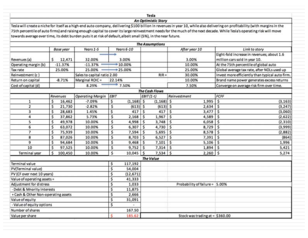Tesla

#### **An Optimistic Story**

Tesla will create a niche for itself as a high-end auto company, deilivering \$100 billion in revenues in year 10, while also delivering on profitability (with margins in the 75th percentile of auto firms) and raising enough capital to cover its large reinvestment needs for the much of the next decade. While Tesla's operating risk will move towards average over time, its debt burden puts it at risk of default, albeit small (5%), in the near future.

|                                           |                                     |                             |                 |               | <b>The Assumptions</b>         |                                   |                                                                             |
|-------------------------------------------|-------------------------------------|-----------------------------|-----------------|---------------|--------------------------------|-----------------------------------|-----------------------------------------------------------------------------|
|                                           | Years 1-5<br><b>Base year</b>       |                             | Years 6-10      |               |                                | After year 10                     | Link to story                                                               |
| Revenues (a)                              | 12,471<br>s                         | 32.00%                      | 3.00%           |               |                                | 3.00%                             | Eight-fold increase in revenues; about 1.6<br>million cars sold in year 10. |
| Operating margin (b)                      | $-11.37%$                           | $-11.37%$                   | $*10.00%$       |               |                                | 10.00%                            | At the 75th percentile of global auto                                       |
| Tax rate                                  | 25.00%                              | 25.00%                      | $+25.00%$       |               |                                | 25.00%                            | Global average tax rate, after NOLs used up                                 |
| Reinvestment (c)                          |                                     | Sales to capital ratio 2.00 |                 |               | $RIR =$                        | 30.00%                            | Invest more efficiently than typical auto firm.                             |
| Return on capital                         | $-8.71%$                            | Marginal ROIC =<br>22.14%   |                 |               |                                | 10.00%                            | Brand name power generates excess returns                                   |
| Cost of capital (d)                       |                                     | 7.50%<br>8.29%              |                 |               |                                | 7.50%                             | Converge on average risk firm over time.                                    |
|                                           |                                     |                             |                 |               | The Cash Flows                 |                                   |                                                                             |
|                                           | Revenues<br><b>Operating Margin</b> |                             | EBIT            |               | $EBIT(1-t)$                    | Reinvestment                      | FCFF                                                                        |
| 1                                         | 16,462<br>s                         | $-7.09%$                    | \$              | $(1, 168)$ \$ | $(1, 168)$ \$                  | 1,995                             | \$<br>(3, 163)                                                              |
| $\overline{\mathbf{z}}$                   | 21,730<br>s                         | $-2.82%$                    | \$              | $(613)$ \$    | $(613)$ \$                     | 2,634                             | \$<br>(3, 247)                                                              |
| 3                                         | s<br>28,683                         | 1.45%                       | s               | 417<br>s      | 417                            | s<br>3,477                        | Ś<br>(3,060)                                                                |
| 4                                         | \$<br>37,862                        | 5.73%                       | \$              | 2,168<br>Ŝ    | 1,967                          | $\vert$ s<br>4,589                | \$<br>(2,622)                                                               |
| 5                                         | \$<br>49,978                        | 10.00%                      | \$              | 4,998<br>\$   | $3,748$ \$                     | 6,058                             | \$<br>(2, 310)                                                              |
| 6                                         | \$<br>63,072                        | 10.00%                      | \$              | 6,307<br>\$   | 4,730 \$                       | 8,729                             | \$<br>(3,999)                                                               |
| $\overline{ }$                            | \$<br>75,939                        | 10.00%                      | \$              | 7,594<br>\$   | 5,695                          | s<br>8,578                        | \$<br>(2,882)                                                               |
| 8                                         | 87,026<br>\$                        | 10.00%                      | \$<br>8,703     | s             | 6,527                          | Ŝ<br>7,391                        | \$<br>(864)                                                                 |
| 9                                         | \$<br>94,684                        | 10.00%                      | \$              | 9,468<br>s    | 7,101                          | 5,106<br>s                        | \$<br>1,996                                                                 |
| 10                                        | \$<br>97,525                        | 10.00%                      | \$              | 9,752<br>\$   | $7,314$   \$                   | 1,894                             | \$<br>5,421                                                                 |
| Terminal year                             | \$<br>100,450                       | 10.00%                      | \$<br>10,045    | Ś             | $7,534$ \$                     | 2,260                             | \$<br>5,274                                                                 |
|                                           |                                     |                             |                 |               | The Value                      |                                   |                                                                             |
| Terminal value                            |                                     |                             | \$<br>117,192   |               |                                |                                   |                                                                             |
| PV(Terminal value)                        |                                     | \$<br>54,004                |                 |               |                                |                                   |                                                                             |
| PV (CF over next 10 years)                |                                     |                             | \$<br>(12, 671) |               |                                |                                   |                                                                             |
| Value of operating assets =               |                                     | \$<br>41,333                |                 |               |                                |                                   |                                                                             |
| Adjustment for distress                   |                                     | \$<br>1,033                 |                 |               | Probability of failure = 5.00% |                                   |                                                                             |
| Debt & Mnority Interests                  |                                     | \$<br>11,875                |                 |               |                                |                                   |                                                                             |
| \$<br>+ Cash & Other Non-operating assets |                                     | 2,666                       |                 |               |                                |                                   |                                                                             |
| \$<br>Value of equity                     |                                     | 31,091                      |                 |               |                                |                                   |                                                                             |
| - Value of equity options<br>s            |                                     |                             | ×.              |               |                                |                                   |                                                                             |
| Number of shares<br>167.50                |                                     |                             |                 |               |                                |                                   |                                                                             |
| Value per share                           |                                     |                             | 185.62<br>e     |               |                                | Stock was trading at $=$ \$360.00 |                                                                             |